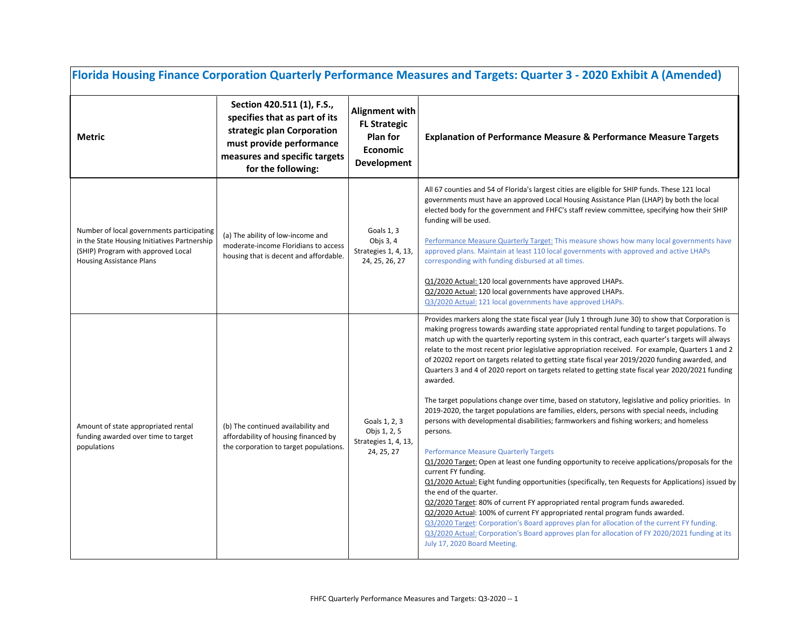| Florida Housing Finance Corporation Quarterly Performance Measures and Targets: Quarter 3 - 2020 Exhibit A (Amended)                                               |                                                                                                                                                                              |                                                                                                   |                                                                                                                                                                                                                                                                                                                                                                                                                                                                                                                                                                                                                                                                                                                                                                                                                                                                                                                                                                                                                                                                                                                                                                                                                                                                                                                                                                                                                                                                                                                                                                                                                                                             |  |
|--------------------------------------------------------------------------------------------------------------------------------------------------------------------|------------------------------------------------------------------------------------------------------------------------------------------------------------------------------|---------------------------------------------------------------------------------------------------|-------------------------------------------------------------------------------------------------------------------------------------------------------------------------------------------------------------------------------------------------------------------------------------------------------------------------------------------------------------------------------------------------------------------------------------------------------------------------------------------------------------------------------------------------------------------------------------------------------------------------------------------------------------------------------------------------------------------------------------------------------------------------------------------------------------------------------------------------------------------------------------------------------------------------------------------------------------------------------------------------------------------------------------------------------------------------------------------------------------------------------------------------------------------------------------------------------------------------------------------------------------------------------------------------------------------------------------------------------------------------------------------------------------------------------------------------------------------------------------------------------------------------------------------------------------------------------------------------------------------------------------------------------------|--|
| <b>Metric</b>                                                                                                                                                      | Section 420.511 (1), F.S.,<br>specifies that as part of its<br>strategic plan Corporation<br>must provide performance<br>measures and specific targets<br>for the following: | <b>Alignment with</b><br><b>FL Strategic</b><br><b>Plan for</b><br>Economic<br><b>Development</b> | <b>Explanation of Performance Measure &amp; Performance Measure Targets</b>                                                                                                                                                                                                                                                                                                                                                                                                                                                                                                                                                                                                                                                                                                                                                                                                                                                                                                                                                                                                                                                                                                                                                                                                                                                                                                                                                                                                                                                                                                                                                                                 |  |
| Number of local governments participating<br>in the State Housing Initiatives Partnership<br>(SHIP) Program with approved Local<br><b>Housing Assistance Plans</b> | (a) The ability of low-income and<br>moderate-income Floridians to access<br>housing that is decent and affordable.                                                          | Goals 1, 3<br>Objs 3, 4<br>Strategies 1, 4, 13,<br>24, 25, 26, 27                                 | All 67 counties and 54 of Florida's largest cities are eligible for SHIP funds. These 121 local<br>governments must have an approved Local Housing Assistance Plan (LHAP) by both the local<br>elected body for the government and FHFC's staff review committee, specifying how their SHIP<br>funding will be used.<br>Performance Measure Quarterly Target: This measure shows how many local governments have<br>approved plans. Maintain at least 110 local governments with approved and active LHAPs<br>corresponding with funding disbursed at all times.<br>Q1/2020 Actual: 120 local governments have approved LHAPs.<br>Q2/2020 Actual: 120 local governments have approved LHAPs.<br>Q3/2020 Actual: 121 local governments have approved LHAPs.                                                                                                                                                                                                                                                                                                                                                                                                                                                                                                                                                                                                                                                                                                                                                                                                                                                                                                  |  |
| Amount of state appropriated rental<br>funding awarded over time to target<br>populations                                                                          | (b) The continued availability and<br>affordability of housing financed by<br>the corporation to target populations.                                                         | Goals 1, 2, 3<br>Objs 1, 2, 5<br>Strategies 1, 4, 13,<br>24, 25, 27                               | Provides markers along the state fiscal year (July 1 through June 30) to show that Corporation is<br>making progress towards awarding state appropriated rental funding to target populations. To<br>match up with the quarterly reporting system in this contract, each quarter's targets will always<br>relate to the most recent prior legislative appropriation received. For example, Quarters 1 and 2<br>of 20202 report on targets related to getting state fiscal year 2019/2020 funding awarded, and<br>Quarters 3 and 4 of 2020 report on targets related to getting state fiscal year 2020/2021 funding<br>awarded.<br>The target populations change over time, based on statutory, legislative and policy priorities. In<br>2019-2020, the target populations are families, elders, persons with special needs, including<br>persons with developmental disabilities; farmworkers and fishing workers; and homeless<br>persons.<br><b>Performance Measure Quarterly Targets</b><br>Q1/2020 Target: Open at least one funding opportunity to receive applications/proposals for the<br>current FY funding.<br>Q1/2020 Actual: Eight funding opportunities (specifically, ten Requests for Applications) issued by<br>the end of the quarter.<br>Q2/2020 Target: 80% of current FY appropriated rental program funds awareded.<br>Q2/2020 Actual: 100% of current FY appropriated rental program funds awarded.<br>Q3/2020 Target: Corporation's Board approves plan for allocation of the current FY funding.<br>Q3/2020 Actual: Corporation's Board approves plan for allocation of FY 2020/2021 funding at its<br>July 17, 2020 Board Meeting. |  |